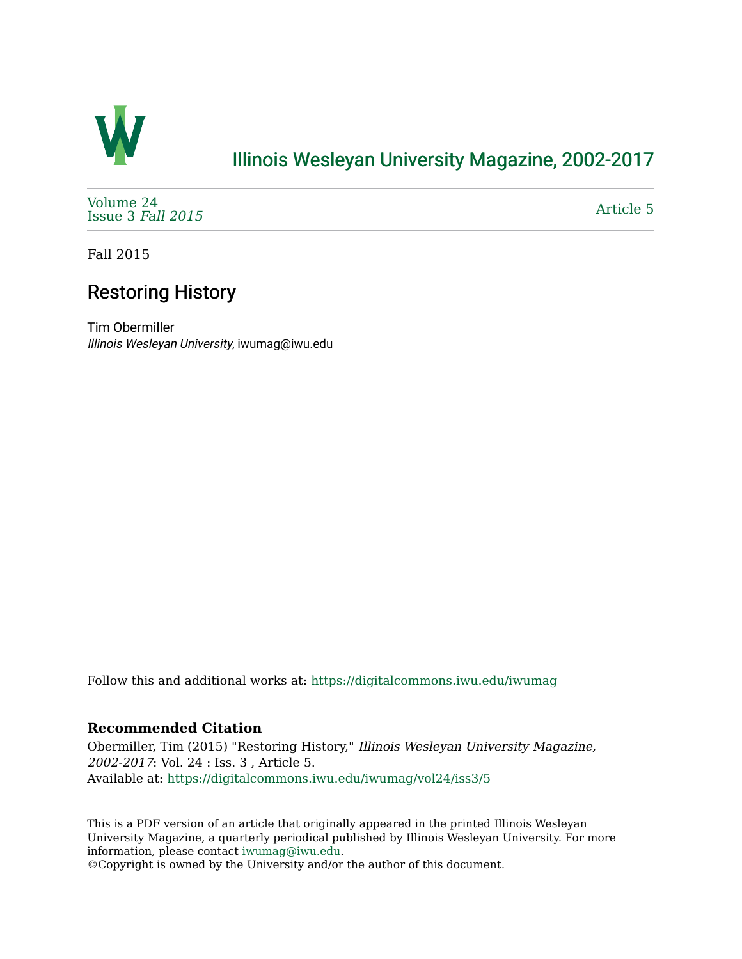

## [Illinois Wesleyan University Magazine, 2002-2017](https://digitalcommons.iwu.edu/iwumag)

[Volume 24](https://digitalcommons.iwu.edu/iwumag/vol24)  [Issue 3](https://digitalcommons.iwu.edu/iwumag/vol24/iss3) Fall 2015

[Article 5](https://digitalcommons.iwu.edu/iwumag/vol24/iss3/5) 

Fall 2015

## Restoring History

Tim Obermiller Illinois Wesleyan University, iwumag@iwu.edu

Follow this and additional works at: [https://digitalcommons.iwu.edu/iwumag](https://digitalcommons.iwu.edu/iwumag?utm_source=digitalcommons.iwu.edu%2Fiwumag%2Fvol24%2Fiss3%2F5&utm_medium=PDF&utm_campaign=PDFCoverPages) 

### **Recommended Citation**

Obermiller, Tim (2015) "Restoring History," Illinois Wesleyan University Magazine, 2002-2017: Vol. 24 : Iss. 3 , Article 5. Available at: [https://digitalcommons.iwu.edu/iwumag/vol24/iss3/5](https://digitalcommons.iwu.edu/iwumag/vol24/iss3/5?utm_source=digitalcommons.iwu.edu%2Fiwumag%2Fvol24%2Fiss3%2F5&utm_medium=PDF&utm_campaign=PDFCoverPages)

This is a PDF version of an article that originally appeared in the printed Illinois Wesleyan University Magazine, a quarterly periodical published by Illinois Wesleyan University. For more information, please contact [iwumag@iwu.edu](mailto:iwumag@iwu.edu).

©Copyright is owned by the University and/or the author of this document.